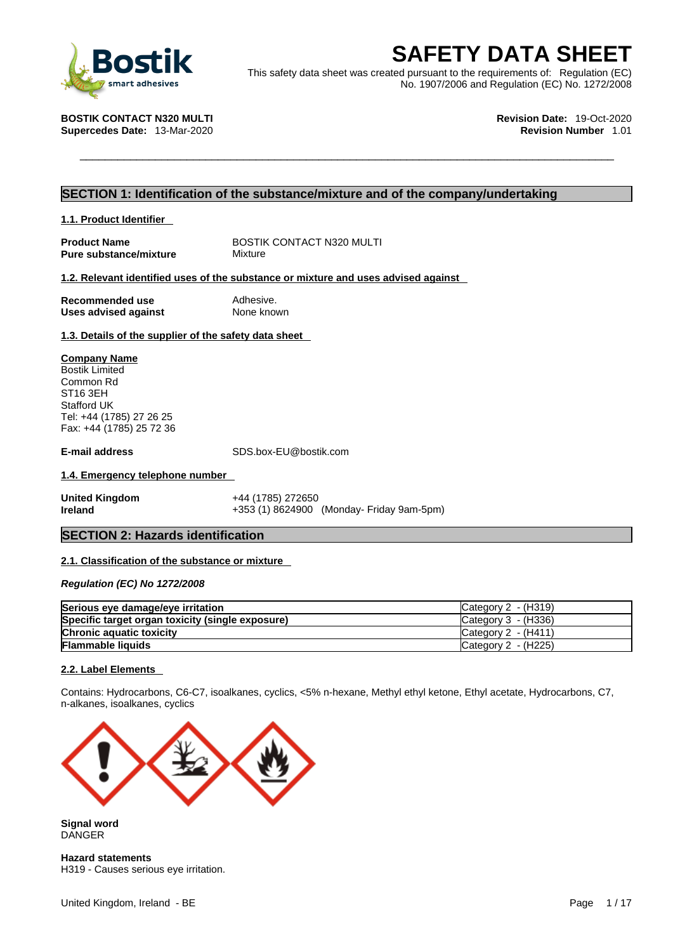

**SAFETY DATA SHEET**<br>
This safety data sheet was created pursuant to the requirements of: Regulation (EC)<br>
STIK CONTACT N320 MULTI<br>
ercedes Date: 13-Mar-2020<br> **EXERCISE DATA SHEET**<br>
Revision Date: 19-Oct-2020<br>
Revision Numb This safety data sheet was created pursuant to the requirements of: Regulation (EC) No. 1907/2006 and Regulation (EC) No. 1272/2008

**Supercedes Date: 13-Mar-2020** 

**BOSTIK CONTACT N320 MULTI Revision Date:** 19-Oct-2020

### **SECTION 1: Identification of the substance/mixture and of the company/undertaking**

#### **1.1. Product Identifier**

**Pure substance/mixture** 

**Product Name** BOSTIK CONTACT N320 MULTI<br> **Pure substance/mixture** Mixture

#### **1.2. Relevant identified uses of the substance or mixture and uses advised against**

**Recommended use** Adhesive.<br> **Uses advised against** None known **Uses** advised against

**1.3. Details of the supplier of the safety data sheet**

#### **Company Name**

Bostik Limited Common Rd ST16 3EH Stafford UK Tel: +44 (1785) 27 26 25 Fax: +44 (1785) 25 72 36

**E-mail address** SDS.box-EU@bostik.com

#### **1.4. Emergency telephone number**

**United Kingdom** +44 (1785) 272650 **Ireland +353 (1) 8624900 (Monday- Friday 9am-5pm)** 

### **SECTION 2: Hazards identification**

### **2.1. Classification of the substance or mixture**

*Regulation (EC) No 1272/2008* 

| Serious eye damage/eye irritation                | ICategory 2 - (H319)  |
|--------------------------------------------------|-----------------------|
| Specific target organ toxicity (single exposure) | Category $3 - (H336)$ |
| <b>Chronic aquatic toxicity</b>                  | Category $2 - (H411)$ |
| <b>Flammable liquids</b>                         | Category 2 - (H225)   |

### **2.2. Label Elements**

Contains: Hydrocarbons, C6-C7, isoalkanes, cyclics, <5% n-hexane, Methyl ethyl ketone, Ethyl acetate, Hydrocarbons, C7, n-alkanes, isoalkanes, cyclics



**Signal word** DANGER

**Hazard statements** H319 - Causes serious eye irritation.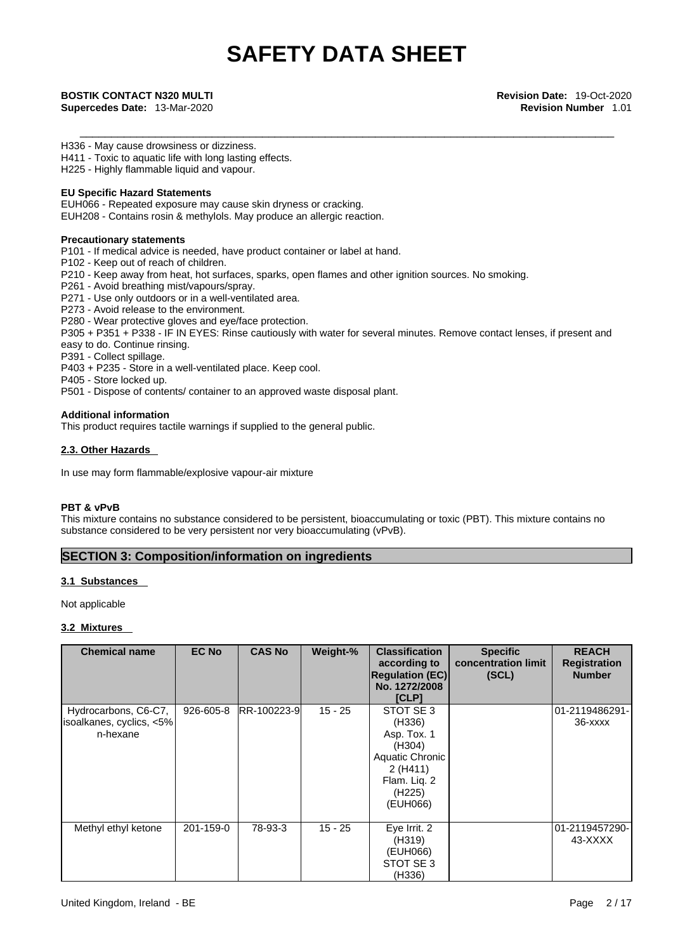H336 - May cause drowsiness or dizziness.

H411 - Toxic to aquatic life with long lasting effects.

H225 - Highly flammable liquid and vapour.

#### **EU Specific Hazard Statements**

EUH066 - Repeated exposure may cause skin dryness or cracking.

EUH208 - Contains rosin & methylols. May produce an allergic reaction.

#### **Precautionary statements**

P101 - If medical advice is needed, have product container or label at hand.

P102 - Keep out of reach of children.

- P210 Keep away from heat, hot surfaces, sparks, open flames and other ignition sources. No smoking.
- P261 Avoid breathing mist/vapours/spray.
- P271 Use only outdoors or in a well-ventilated area.
- P273 Avoid release to the environment.

P280 - Wear protective gloves and eye/face protection.

P305 + P351 + P338 - IF IN EYES: Rinse cautiously with water for several minutes. Remove contact lenses, if present and

easy to do. Continue rinsing. P391 - Collect spillage.

P403 + P235 - Store in a well-ventilated place. Keep cool.

P405 - Store locked up.

P501 - Dispose of contents/ container to an approved waste disposal plant.

#### **Additional information**

This product requires tactile warnings if supplied to the general public.

#### **2.3. Other Hazards**

In use may form flammable/explosive vapour-air mixture

### **PBT & vPvB**

This mixture contains no substance considered to be persistent, bioaccumulating or toxic (PBT). This mixture contains no substance considered to be very persistent nor very bioaccumulating (vPvB).

### **SECTION 3: Composition/information on ingredients**

### **3.1 Substances**

Not applicable

### **3.2 Mixtures**

| <b>Chemical name</b>                                         | <b>EC No</b> | <b>CAS No</b> | Weight-%  | <b>Classification</b><br>according to<br><b>Regulation (EC)</b><br>No. 1272/2008<br><b>[CLP]</b>                              | <b>Specific</b><br>concentration limit<br>(SCL) | <b>REACH</b><br><b>Registration</b><br><b>Number</b> |
|--------------------------------------------------------------|--------------|---------------|-----------|-------------------------------------------------------------------------------------------------------------------------------|-------------------------------------------------|------------------------------------------------------|
| Hydrocarbons, C6-C7,<br>isoalkanes, cyclics, <5%<br>n-hexane | 926-605-8    | RR-100223-9   | $15 - 25$ | STOT SE 3<br>(H336)<br>Asp. Tox. 1<br>(H304)<br>Aquatic Chronic<br>2(H411)<br>Flam. Liq. 2<br>(H <sub>225</sub> )<br>(EUH066) |                                                 | 01-2119486291-<br>$36 - XXXX$                        |
| Methyl ethyl ketone                                          | 201-159-0    | 78-93-3       | $15 - 25$ | Eye Irrit. 2<br>(H319)<br>(EUH066)<br>STOT SE 3<br>(H336)                                                                     |                                                 | 01-2119457290-<br>43-XXXX                            |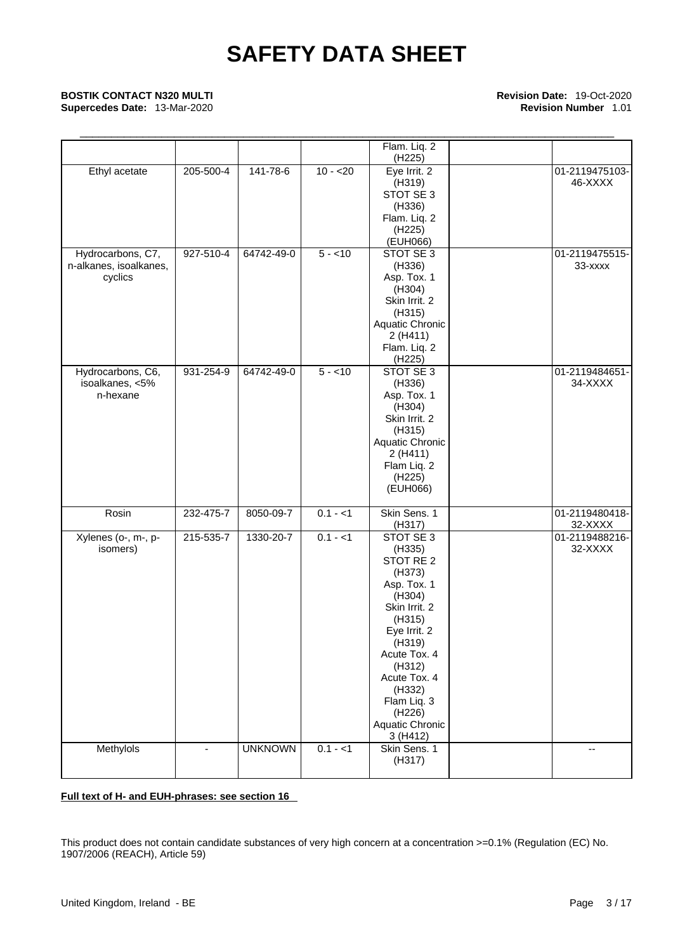## \_\_\_\_\_\_\_\_\_\_\_\_\_\_\_\_\_\_\_\_\_\_\_\_\_\_\_\_\_\_\_\_\_\_\_\_\_\_\_\_\_\_\_\_\_\_\_\_\_\_\_\_\_\_\_\_\_\_\_\_\_\_\_\_\_\_\_\_\_\_\_\_\_\_\_\_\_\_\_\_\_\_\_\_\_ **BOSTIK CONTACT N320 MULTI Revision Date:** 19-Oct-2020

**Supercedes Date: 13-Mar-2020** 

|                        |           |                |           | Flam. Liq. 2        |                |
|------------------------|-----------|----------------|-----------|---------------------|----------------|
|                        |           |                |           | (H225)              |                |
| Ethyl acetate          | 205-500-4 | 141-78-6       | $10 - 20$ | Eye Irrit. 2        | 01-2119475103- |
|                        |           |                |           | (H319)              | 46-XXXX        |
|                        |           |                |           | STOT SE 3           |                |
|                        |           |                |           | (H336)              |                |
|                        |           |                |           | Flam. Liq. 2        |                |
|                        |           |                |           | (H <sub>225</sub> ) |                |
|                        |           |                |           | (EUH066)            |                |
| Hydrocarbons, C7,      | 927-510-4 | 64742-49-0     | $5 - 10$  | STOT SE 3           | 01-2119475515- |
| n-alkanes, isoalkanes, |           |                |           | (H336)              | 33-xxxx        |
| cyclics                |           |                |           | Asp. Tox. 1         |                |
|                        |           |                |           |                     |                |
|                        |           |                |           | (H304)              |                |
|                        |           |                |           | Skin Irrit. 2       |                |
|                        |           |                |           | (H315)              |                |
|                        |           |                |           | Aquatic Chronic     |                |
|                        |           |                |           | 2(H411)             |                |
|                        |           |                |           | Flam. Liq. 2        |                |
|                        |           |                |           | (H225)              |                |
| Hydrocarbons, C6,      | 931-254-9 | 64742-49-0     | $5 - 10$  | STOT SE 3           | 01-2119484651- |
| isoalkanes, <5%        |           |                |           | (H336)              | 34-XXXX        |
| n-hexane               |           |                |           | Asp. Tox. 1         |                |
|                        |           |                |           | (H304)              |                |
|                        |           |                |           | Skin Irrit. 2       |                |
|                        |           |                |           | (H315)              |                |
|                        |           |                |           | Aquatic Chronic     |                |
|                        |           |                |           | 2(H411)             |                |
|                        |           |                |           | Flam Liq. 2         |                |
|                        |           |                |           | (H225)              |                |
|                        |           |                |           | (EUH066)            |                |
|                        |           |                |           |                     |                |
| Rosin                  | 232-475-7 | 8050-09-7      | $0.1 - 1$ | Skin Sens. 1        | 01-2119480418- |
|                        |           |                |           |                     |                |
|                        |           |                |           | (H317)              | 32-XXXX        |
| Xylenes (o-, m-, p-    | 215-535-7 | 1330-20-7      | $0.1 - 1$ | STOT SE 3           | 01-2119488216- |
| isomers)               |           |                |           | (H335)              | 32-XXXX        |
|                        |           |                |           | STOT RE 2           |                |
|                        |           |                |           | (H373)              |                |
|                        |           |                |           | Asp. Tox. 1         |                |
|                        |           |                |           | (H304)              |                |
|                        |           |                |           | Skin Irrit. 2       |                |
|                        |           |                |           | (H315)              |                |
|                        |           |                |           | Eye Irrit. 2        |                |
|                        |           |                |           | (H319)              |                |
|                        |           |                |           | Acute Tox. 4        |                |
|                        |           |                |           | (H312)              |                |
|                        |           |                |           | Acute Tox. 4        |                |
|                        |           |                |           | (H332)              |                |
|                        |           |                |           | Flam Liq. 3         |                |
|                        |           |                |           | (H226)              |                |
|                        |           |                |           | Aquatic Chronic     |                |
|                        |           |                |           | 3(H412)             |                |
| Methylols              |           | <b>UNKNOWN</b> | $0.1 - 1$ | Skin Sens. 1        | $\overline{a}$ |
|                        |           |                |           | (H317)              |                |
|                        |           |                |           |                     |                |
|                        |           |                |           |                     |                |

### **Full text of H- and EUH-phrases: see section 16**

This product does not contain candidate substances of very high concern at a concentration >=0.1% (Regulation (EC) No. 1907/2006 (REACH), Article 59)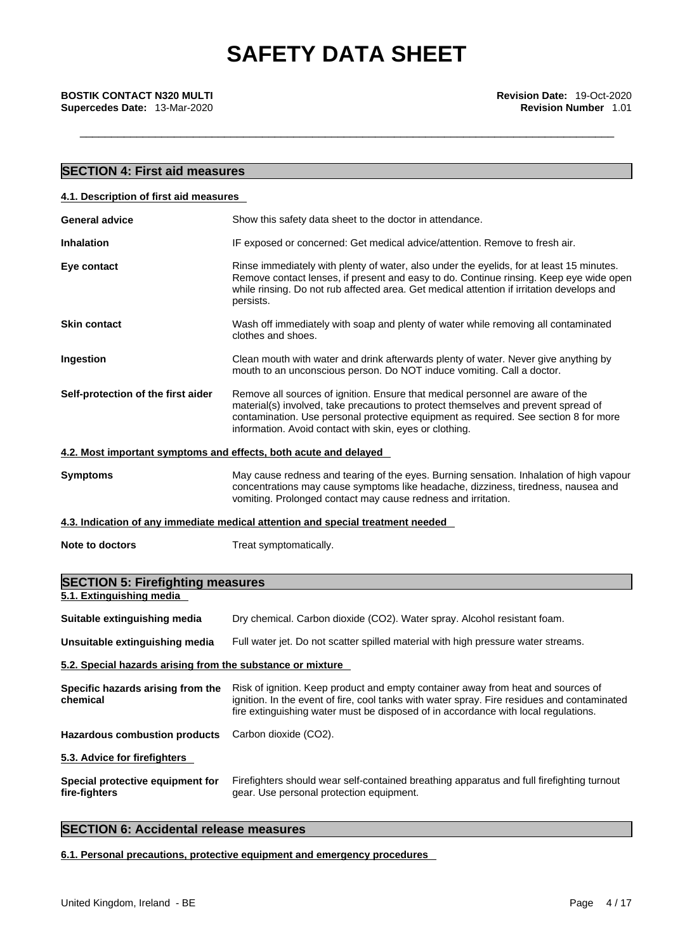**Supercedes Date:** 13-Mar-2020 **Revision Number** 1.01

| <b>SECTION 4: First aid measures</b>                                |                                                                                                                                                                                                                                                                                                                         |
|---------------------------------------------------------------------|-------------------------------------------------------------------------------------------------------------------------------------------------------------------------------------------------------------------------------------------------------------------------------------------------------------------------|
| 4.1. Description of first aid measures                              |                                                                                                                                                                                                                                                                                                                         |
| <b>General advice</b>                                               | Show this safety data sheet to the doctor in attendance.                                                                                                                                                                                                                                                                |
| <b>Inhalation</b>                                                   | IF exposed or concerned: Get medical advice/attention. Remove to fresh air.                                                                                                                                                                                                                                             |
| Eye contact                                                         | Rinse immediately with plenty of water, also under the eyelids, for at least 15 minutes.<br>Remove contact lenses, if present and easy to do. Continue rinsing. Keep eye wide open<br>while rinsing. Do not rub affected area. Get medical attention if irritation develops and<br>persists.                            |
| <b>Skin contact</b>                                                 | Wash off immediately with soap and plenty of water while removing all contaminated<br>clothes and shoes.                                                                                                                                                                                                                |
| Ingestion                                                           | Clean mouth with water and drink afterwards plenty of water. Never give anything by<br>mouth to an unconscious person. Do NOT induce vomiting. Call a doctor.                                                                                                                                                           |
| Self-protection of the first aider                                  | Remove all sources of ignition. Ensure that medical personnel are aware of the<br>material(s) involved, take precautions to protect themselves and prevent spread of<br>contamination. Use personal protective equipment as required. See section 8 for more<br>information. Avoid contact with skin, eyes or clothing. |
|                                                                     | 4.2. Most important symptoms and effects, both acute and delayed                                                                                                                                                                                                                                                        |
| <b>Symptoms</b>                                                     | May cause redness and tearing of the eyes. Burning sensation. Inhalation of high vapour<br>concentrations may cause symptoms like headache, dizziness, tiredness, nausea and<br>vomiting. Prolonged contact may cause redness and irritation.                                                                           |
|                                                                     | 4.3. Indication of any immediate medical attention and special treatment needed                                                                                                                                                                                                                                         |
| <b>Note to doctors</b>                                              | Treat symptomatically.                                                                                                                                                                                                                                                                                                  |
| <b>SECTION 5: Firefighting measures</b><br>5.1. Extinguishing media |                                                                                                                                                                                                                                                                                                                         |
| Suitable extinguishing media                                        | Dry chemical. Carbon dioxide (CO2). Water spray. Alcohol resistant foam.                                                                                                                                                                                                                                                |
| Unsuitable extinguishing media                                      | Full water jet. Do not scatter spilled material with high pressure water streams.                                                                                                                                                                                                                                       |
| 5.2. Special hazards arising from the substance or mixture          |                                                                                                                                                                                                                                                                                                                         |
| Specific hazards arising from the<br>chemical                       | Risk of ignition. Keep product and empty container away from heat and sources of<br>ignition. In the event of fire, cool tanks with water spray. Fire residues and contaminated<br>fire extinguishing water must be disposed of in accordance with local regulations.                                                   |
| <b>Hazardous combustion products</b>                                | Carbon dioxide (CO2).                                                                                                                                                                                                                                                                                                   |
| 5.3. Advice for firefighters                                        |                                                                                                                                                                                                                                                                                                                         |
| Special protective equipment for                                    | Firefighters should wear self-contained breathing apparatus and full firefighting turnout                                                                                                                                                                                                                               |

gear. Use personal protection equipment.

### **SECTION 6: Accidental release measures**

**6.1. Personal precautions, protective equipment and emergency procedures**

**fire-fighters**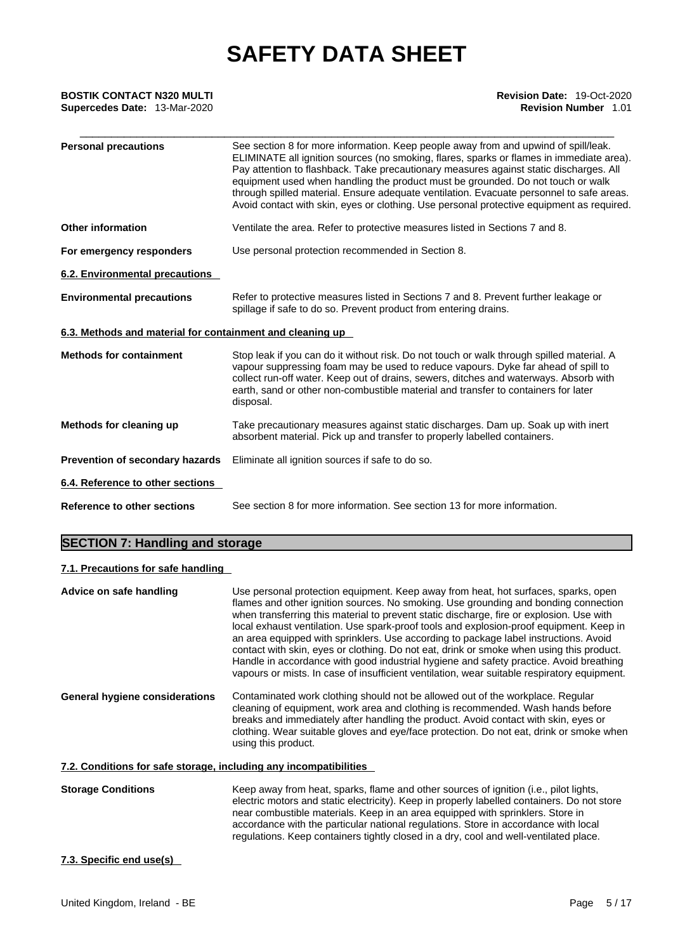## \_\_\_\_\_\_\_\_\_\_\_\_\_\_\_\_\_\_\_\_\_\_\_\_\_\_\_\_\_\_\_\_\_\_\_\_\_\_\_\_\_\_\_\_\_\_\_\_\_\_\_\_\_\_\_\_\_\_\_\_\_\_\_\_\_\_\_\_\_\_\_\_\_\_\_\_\_\_\_\_\_\_\_\_\_ **BOSTIK CONTACT N320 MULTI Revision Date:** 19-Oct-2020 **Supercedes Date:** 13-Mar-2020 **Revision Number** 1.01

| <b>Personal precautions</b>                               | See section 8 for more information. Keep people away from and upwind of spill/leak.<br>ELIMINATE all ignition sources (no smoking, flares, sparks or flames in immediate area).<br>Pay attention to flashback. Take precautionary measures against static discharges. All<br>equipment used when handling the product must be grounded. Do not touch or walk<br>through spilled material. Ensure adequate ventilation. Evacuate personnel to safe areas.<br>Avoid contact with skin, eyes or clothing. Use personal protective equipment as required. |
|-----------------------------------------------------------|-------------------------------------------------------------------------------------------------------------------------------------------------------------------------------------------------------------------------------------------------------------------------------------------------------------------------------------------------------------------------------------------------------------------------------------------------------------------------------------------------------------------------------------------------------|
| <b>Other information</b>                                  | Ventilate the area. Refer to protective measures listed in Sections 7 and 8.                                                                                                                                                                                                                                                                                                                                                                                                                                                                          |
| For emergency responders                                  | Use personal protection recommended in Section 8.                                                                                                                                                                                                                                                                                                                                                                                                                                                                                                     |
| 6.2. Environmental precautions                            |                                                                                                                                                                                                                                                                                                                                                                                                                                                                                                                                                       |
| <b>Environmental precautions</b>                          | Refer to protective measures listed in Sections 7 and 8. Prevent further leakage or<br>spillage if safe to do so. Prevent product from entering drains.                                                                                                                                                                                                                                                                                                                                                                                               |
| 6.3. Methods and material for containment and cleaning up |                                                                                                                                                                                                                                                                                                                                                                                                                                                                                                                                                       |
| <b>Methods for containment</b>                            | Stop leak if you can do it without risk. Do not touch or walk through spilled material. A<br>vapour suppressing foam may be used to reduce vapours. Dyke far ahead of spill to<br>collect run-off water. Keep out of drains, sewers, ditches and waterways. Absorb with<br>earth, sand or other non-combustible material and transfer to containers for later<br>disposal.                                                                                                                                                                            |
| Methods for cleaning up                                   | Take precautionary measures against static discharges. Dam up. Soak up with inert<br>absorbent material. Pick up and transfer to properly labelled containers.                                                                                                                                                                                                                                                                                                                                                                                        |
| Prevention of secondary hazards                           | Eliminate all ignition sources if safe to do so.                                                                                                                                                                                                                                                                                                                                                                                                                                                                                                      |
| 6.4. Reference to other sections                          |                                                                                                                                                                                                                                                                                                                                                                                                                                                                                                                                                       |
| Reference to other sections                               | See section 8 for more information. See section 13 for more information.                                                                                                                                                                                                                                                                                                                                                                                                                                                                              |

### **SECTION 7: Handling and storage**

### **7.1. Precautions for safe handling**

| Advice on safe handling                                           | Use personal protection equipment. Keep away from heat, hot surfaces, sparks, open<br>flames and other ignition sources. No smoking. Use grounding and bonding connection<br>when transferring this material to prevent static discharge, fire or explosion. Use with<br>local exhaust ventilation. Use spark-proof tools and explosion-proof equipment. Keep in<br>an area equipped with sprinklers. Use according to package label instructions. Avoid<br>contact with skin, eyes or clothing. Do not eat, drink or smoke when using this product.<br>Handle in accordance with good industrial hygiene and safety practice. Avoid breathing<br>vapours or mists. In case of insufficient ventilation, wear suitable respiratory equipment. |
|-------------------------------------------------------------------|-----------------------------------------------------------------------------------------------------------------------------------------------------------------------------------------------------------------------------------------------------------------------------------------------------------------------------------------------------------------------------------------------------------------------------------------------------------------------------------------------------------------------------------------------------------------------------------------------------------------------------------------------------------------------------------------------------------------------------------------------|
| <b>General hygiene considerations</b>                             | Contaminated work clothing should not be allowed out of the workplace. Regular<br>cleaning of equipment, work area and clothing is recommended. Wash hands before<br>breaks and immediately after handling the product. Avoid contact with skin, eyes or<br>clothing. Wear suitable gloves and eye/face protection. Do not eat, drink or smoke when<br>using this product.                                                                                                                                                                                                                                                                                                                                                                    |
| 7.2. Conditions for safe storage, including any incompatibilities |                                                                                                                                                                                                                                                                                                                                                                                                                                                                                                                                                                                                                                                                                                                                               |
| <b>Storage Conditions</b>                                         | Keep away from heat, sparks, flame and other sources of ignition (i.e., pilot lights,<br>electric motors and static electricity). Keep in properly labelled containers. Do not store<br>near combustible materials. Keep in an area equipped with sprinklers. Store in                                                                                                                                                                                                                                                                                                                                                                                                                                                                        |

accordance with the particular national regulations. Store in accordance with local regulations. Keep containers tightly closed in a dry, cool and well-ventilated place.

### **7.3. Specific end use(s)**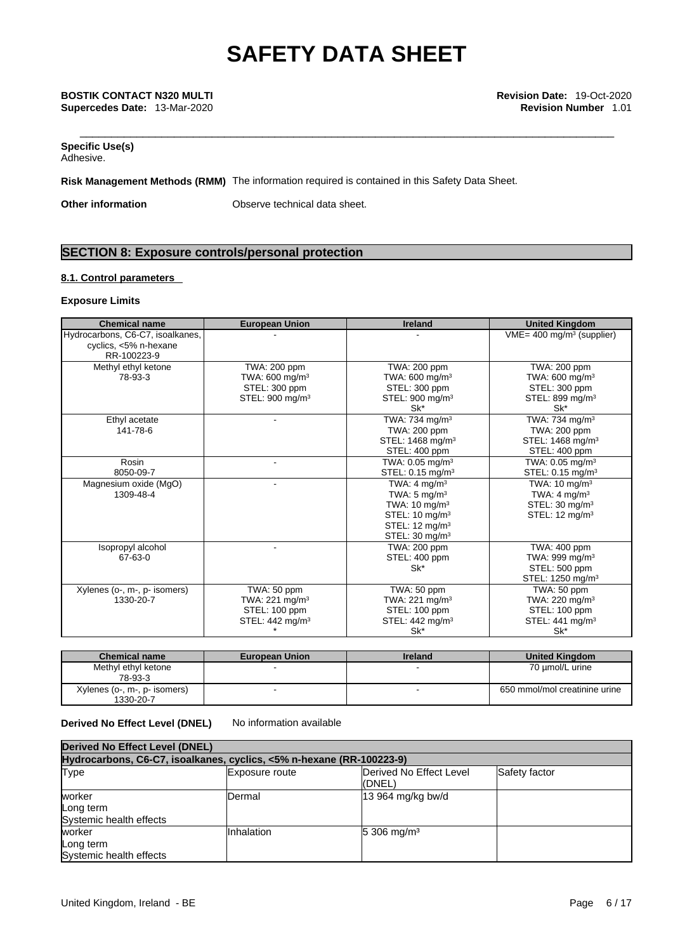#### **Specific Use(s)** Adhesive.

**Risk Management Methods (RMM)** The information required is contained in this Safety Data Sheet.

**Other information** Observe technical data sheet.

### **SECTION 8: Exposure controls/personal protection**

### **8.1. Control parameters**

#### **Exposure Limits**

| <b>Chemical name</b>                                                     | <b>European Union</b>                                                                     | <b>Ireland</b>                                                                                                                                                           | <b>United Kingdom</b>                                                                                          |
|--------------------------------------------------------------------------|-------------------------------------------------------------------------------------------|--------------------------------------------------------------------------------------------------------------------------------------------------------------------------|----------------------------------------------------------------------------------------------------------------|
| Hydrocarbons, C6-C7, isoalkanes,<br>cyclics, <5% n-hexane<br>RR-100223-9 |                                                                                           |                                                                                                                                                                          | $VME = 400$ mg/m <sup>3</sup> (supplier)                                                                       |
| Methyl ethyl ketone<br>78-93-3                                           | TWA: 200 ppm<br>TWA: $600 \text{ mg/m}^3$<br>STEL: 300 ppm<br>STEL: 900 mg/m <sup>3</sup> | TWA: 200 ppm<br>TWA: 600 mg/m <sup>3</sup><br>STEL: 300 ppm<br>STEL: 900 mg/m <sup>3</sup><br>Sk*                                                                        | TWA: 200 ppm<br>TWA: $600 \text{ mg/m}^3$<br>STEL: 300 ppm<br>STEL: 899 mg/m <sup>3</sup><br>$Sk^*$            |
| Ethyl acetate<br>141-78-6                                                |                                                                                           | TWA: 734 mg/m <sup>3</sup><br>TWA: 200 ppm<br>STEL: 1468 mg/m <sup>3</sup><br>STEL: 400 ppm                                                                              | TWA: 734 mg/m <sup>3</sup><br>TWA: 200 ppm<br>STEL: 1468 mg/m <sup>3</sup><br>STEL: 400 ppm                    |
| Rosin<br>8050-09-7                                                       |                                                                                           | TWA: $0.05 \text{ mg/m}^3$<br>STEL: 0.15 mg/m <sup>3</sup>                                                                                                               | TWA: $0.05$ mg/m <sup>3</sup><br>STEL: 0.15 mg/m <sup>3</sup>                                                  |
| Magnesium oxide (MgO)<br>1309-48-4                                       | ۰                                                                                         | TWA: $4 \text{ ma/m}^3$<br>TWA: $5 \text{ mg/m}^3$<br>TWA: $10 \text{ mg/m}^3$<br>STEL: 10 mg/m <sup>3</sup><br>STEL: 12 mg/m <sup>3</sup><br>STEL: 30 mg/m <sup>3</sup> | TWA: $10 \text{ mg/m}^3$<br>TWA: $4 \text{ mg/m}^3$<br>STEL: 30 mg/m <sup>3</sup><br>STEL: $12 \text{ mq/m}^3$ |
| Isopropyl alcohol<br>67-63-0                                             |                                                                                           | TWA: 200 ppm<br>STEL: 400 ppm<br>Sk*                                                                                                                                     | TWA: 400 ppm<br>TWA: 999 mg/m <sup>3</sup><br>STEL: 500 ppm<br>STEL: 1250 mg/m <sup>3</sup>                    |
| Xylenes (o-, m-, p- isomers)<br>1330-20-7                                | TWA: 50 ppm<br>TWA: $221 \text{ mg/m}^3$<br>STEL: 100 ppm<br>STEL: 442 mg/m <sup>3</sup>  | TWA: 50 ppm<br>TWA: 221 mg/m <sup>3</sup><br>STEL: 100 ppm<br>STEL: 442 mg/m <sup>3</sup><br>Sk*                                                                         | TWA: 50 ppm<br>TWA: $220$ mg/m <sup>3</sup><br>STEL: 100 ppm<br>STEL: 441 mg/m <sup>3</sup><br>Sk*             |

| <b>Chemical name</b>                      | <b>European Union</b> | <b>Ireland</b> | <b>United Kingdom</b>         |
|-------------------------------------------|-----------------------|----------------|-------------------------------|
| Methyl ethyl ketone<br>78-93-3            |                       |                | 70 µmol/L urine               |
| Xylenes (o-, m-, p- isomers)<br>1330-20-7 |                       |                | 650 mmol/mol creatinine urine |

#### **Derived No Effect Level (DNEL)** No information available

| <b>Derived No Effect Level (DNEL)</b>                                |                       |                                   |               |  |  |
|----------------------------------------------------------------------|-----------------------|-----------------------------------|---------------|--|--|
| Hydrocarbons, C6-C7, isoalkanes, cyclics, <5% n-hexane (RR-100223-9) |                       |                                   |               |  |  |
| <b>Type</b>                                                          | <b>Exposure route</b> | Derived No Effect Level<br>(DNEL) | Safety factor |  |  |
| worker<br>Long term<br>Systemic health effects                       | Dermal                | 13 964 mg/kg bw/d                 |               |  |  |
| worker<br>Long term<br>Systemic health effects                       | Inhalation            | $15,306 \text{ mg/m}^3$           |               |  |  |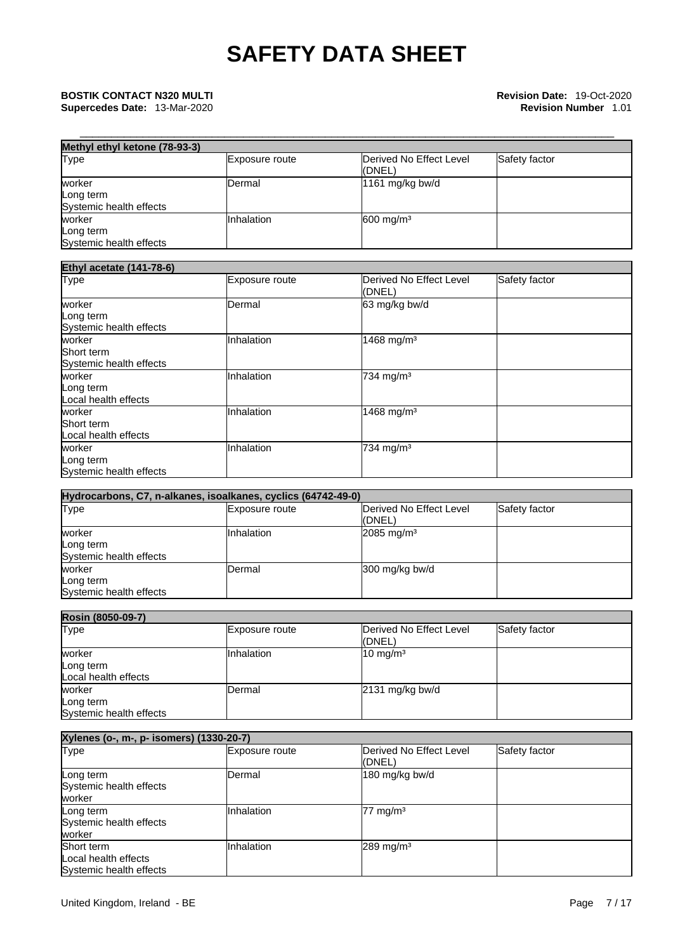| Methyl ethyl ketone (78-93-3)        |                |                                   |               |  |
|--------------------------------------|----------------|-----------------------------------|---------------|--|
| <b>Type</b>                          | Exposure route | Derived No Effect Level<br>(DNEL) | Safety factor |  |
| worker                               | lDermal        | 1161 mg/kg bw/d                   |               |  |
| Long term<br>Systemic health effects |                |                                   |               |  |
| worker                               | Inhalation     | $600$ mg/m <sup>3</sup>           |               |  |
| Long term                            |                |                                   |               |  |
| Systemic health effects              |                |                                   |               |  |

| <b>Ethyl acetate (141-78-6)</b>                 |                |                                   |               |  |
|-------------------------------------------------|----------------|-----------------------------------|---------------|--|
| <b>Type</b>                                     | Exposure route | Derived No Effect Level<br>(DNEL) | Safety factor |  |
| worker<br>Long term<br>Systemic health effects  | Dermal         | 63 mg/kg bw/d                     |               |  |
| worker<br>Short term<br>Systemic health effects | Inhalation     | 1468 mg/m <sup>3</sup>            |               |  |
| worker<br>Long term<br>Local health effects     | Inhalation     | 734 mg/m <sup>3</sup>             |               |  |
| worker<br>Short term<br>Local health effects    | Inhalation     | 1468 mg/m <sup>3</sup>            |               |  |
| worker<br>Long term<br>Systemic health effects  | Inhalation     | 734 mg/m <sup>3</sup>             |               |  |

| Hydrocarbons, C7, n-alkanes, isoalkanes, cyclics (64742-49-0) |                       |                                   |               |  |  |
|---------------------------------------------------------------|-----------------------|-----------------------------------|---------------|--|--|
| <b>Type</b>                                                   | <b>Exposure route</b> | Derived No Effect Level<br>(DNEL) | Safety factor |  |  |
| worker                                                        | Inhalation            | $2085$ mg/m <sup>3</sup>          |               |  |  |
| Long term                                                     |                       |                                   |               |  |  |
| Systemic health effects                                       |                       |                                   |               |  |  |
| worker                                                        | Dermal                | 300 mg/kg bw/d                    |               |  |  |
| Long term                                                     |                       |                                   |               |  |  |
| Systemic health effects                                       |                       |                                   |               |  |  |

| Rosin (8050-09-7)                              |                |                                   |               |
|------------------------------------------------|----------------|-----------------------------------|---------------|
| Type                                           | Exposure route | Derived No Effect Level<br>(DNEL) | Safety factor |
| worker<br>Long term<br>Local health effects    | Inhalation     | $10 \text{ mg/m}^3$               |               |
| worker<br>Long term<br>Systemic health effects | Dermal         | $2131$ mg/kg bw/d                 |               |

| Xylenes (o-, m-, p- isomers) (1330-20-7)                      |                |                                   |               |
|---------------------------------------------------------------|----------------|-----------------------------------|---------------|
| <b>Type</b>                                                   | Exposure route | Derived No Effect Level<br>(DNEL) | Safety factor |
| Long term<br>Systemic health effects<br>worker                | Dermal         | 180 mg/kg bw/d                    |               |
| Long term<br>Systemic health effects<br>worker                | Inhalation     | $77 \text{ mg/m}^3$               |               |
| Short term<br>Local health effects<br>Systemic health effects | Inhalation     | $289$ mg/m <sup>3</sup>           |               |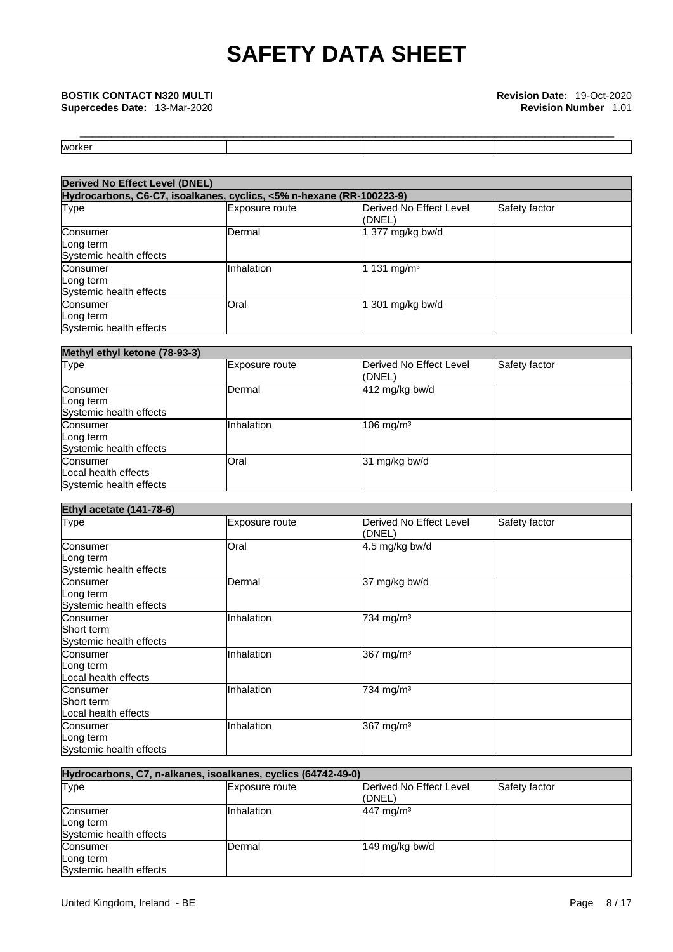**Supercedes Date: 13-Mar-2020** 

| <b>worke</b> |  |  |
|--------------|--|--|

| <b>Derived No Effect Level (DNEL)</b>                                |                |                                   |               |
|----------------------------------------------------------------------|----------------|-----------------------------------|---------------|
| Hydrocarbons, C6-C7, isoalkanes, cyclics, <5% n-hexane (RR-100223-9) |                |                                   |               |
| Type                                                                 | Exposure route | Derived No Effect Level<br>(DNEL) | Safety factor |
| Consumer<br>Long term<br>Systemic health effects                     | Dermal         | 1 377 mg/kg bw/d                  |               |
| Consumer<br>Long term<br>Systemic health effects                     | Inhalation     | 1 131 mg/m <sup>3</sup>           |               |
| Consumer<br>Long term<br>Systemic health effects                     | Oral           | 1 301 mg/kg bw/d                  |               |

| Methyl ethyl ketone (78-93-3)                               |                   |                                    |               |
|-------------------------------------------------------------|-------------------|------------------------------------|---------------|
| <b>Type</b>                                                 | Exposure route    | Derived No Effect Level<br>((DNEL) | Safety factor |
| Consumer<br>Long term<br>Systemic health effects            | IDermal           | 412 mg/kg bw/d                     |               |
| Consumer<br>Long term<br>Systemic health effects            | <b>Inhalation</b> | $106$ mg/m <sup>3</sup>            |               |
| Consumer<br>Local health effects<br>Systemic health effects | Oral              | 31 mg/kg bw/d                      |               |

| <b>Ethyl acetate (141-78-6)</b>                   |                |                                   |               |
|---------------------------------------------------|----------------|-----------------------------------|---------------|
| <b>Type</b>                                       | Exposure route | Derived No Effect Level<br>(DNEL) | Safety factor |
| Consumer<br>Long term<br>Systemic health effects  | Oral           | 4.5 mg/kg bw/d                    |               |
| Consumer<br>Long term<br>Systemic health effects  | Dermal         | 37 mg/kg bw/d                     |               |
| Consumer<br>Short term<br>Systemic health effects | Inhalation     | 734 mg/m <sup>3</sup>             |               |
| Consumer<br>Long term<br>Local health effects     | Inhalation     | 367 mg/m <sup>3</sup>             |               |
| Consumer<br>Short term<br>Local health effects    | Inhalation     | 734 mg/m <sup>3</sup>             |               |
| Consumer<br>Long term<br>Systemic health effects  | Inhalation     | 367 mg/m <sup>3</sup>             |               |

| Hydrocarbons, C7, n-alkanes, isoalkanes, cyclics (64742-49-0) |                       |                                   |               |
|---------------------------------------------------------------|-----------------------|-----------------------------------|---------------|
| <b>Type</b>                                                   | <b>Exposure route</b> | Derived No Effect Level<br>(DNEL) | Safety factor |
| Consumer<br>Long term<br>Systemic health effects              | IInhalation           | $447$ mg/m <sup>3</sup>           |               |
| Consumer<br>Long term<br>Systemic health effects              | Dermal                | 149 mg/kg bw/d                    |               |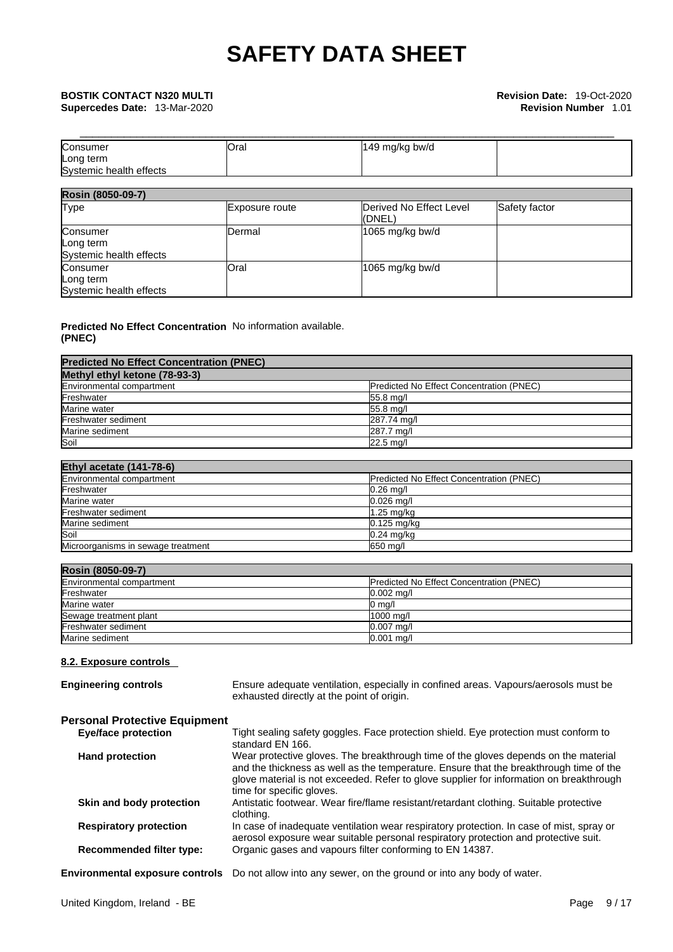| Consumer                | <b>Oral</b> | 149 mg/kg bw/d |  |
|-------------------------|-------------|----------------|--|
| Long term               |             |                |  |
| Systemic health effects |             |                |  |

| Rosin (8050-09-7)                                |                |                                   |               |
|--------------------------------------------------|----------------|-----------------------------------|---------------|
| <b>Type</b>                                      | Exposure route | Derived No Effect Level<br>(DNEL) | Safety factor |
| Consumer<br>Long term<br>Systemic health effects | Dermal         | 1065 mg/kg bw/d                   |               |
| Consumer<br>Long term<br>Systemic health effects | Oral           | 1065 mg/kg bw/d                   |               |

#### **Predicted No Effect Concentration** No information available. **(PNEC)**

| <b>Predicted No Effect Concentration (PNEC)</b> |                                                 |
|-------------------------------------------------|-------------------------------------------------|
| Methyl ethyl ketone (78-93-3)                   |                                                 |
| Environmental compartment                       | <b>Predicted No Effect Concentration (PNEC)</b> |
| Freshwater                                      | 55.8 mg/l                                       |
| Marine water                                    | 55.8 mg/l                                       |
| Freshwater sediment                             | 287.74 mg/l                                     |
| Marine sediment                                 | 287.7 ma/l                                      |
| Soil                                            | $22.5$ mg/                                      |

| Ethyl acetate (141-78-6)           |                                          |
|------------------------------------|------------------------------------------|
| Environmental compartment          | Predicted No Effect Concentration (PNEC) |
| Freshwater                         | $0.26$ mg/                               |
| Marine water                       | $0.026$ ma/l                             |
| Freshwater sediment                | 1.25 mg/kg                               |
| Marine sediment                    | $0.125$ mg/kg                            |
| Soil                               | $0.24$ mg/kg                             |
| Microorganisms in sewage treatment | 650 mg/l                                 |

| Rosin (8050-09-7)         |                                                 |
|---------------------------|-------------------------------------------------|
| Environmental compartment | <b>Predicted No Effect Concentration (PNEC)</b> |
| Freshwater                | $0.002$ mg/l                                    |
| Marine water              | $0 \text{ ma/l}$                                |
| Sewage treatment plant    | 1000 mg/l                                       |
| Freshwater sediment       | $0.007$ mg/l                                    |
| Marine sediment           | $0.001$ mg/l                                    |

### **8.2. Exposure controls**

| <b>Engineering controls</b>            | Ensure adequate ventilation, especially in confined areas. Vapours/aerosols must be<br>exhausted directly at the point of origin.                                                                                                                                                                     |
|----------------------------------------|-------------------------------------------------------------------------------------------------------------------------------------------------------------------------------------------------------------------------------------------------------------------------------------------------------|
| <b>Personal Protective Equipment</b>   |                                                                                                                                                                                                                                                                                                       |
| <b>Eye/face protection</b>             | Tight sealing safety goggles. Face protection shield. Eye protection must conform to<br>standard EN 166.                                                                                                                                                                                              |
| <b>Hand protection</b>                 | Wear protective gloves. The breakthrough time of the gloves depends on the material<br>and the thickness as well as the temperature. Ensure that the breakthrough time of the<br>glove material is not exceeded. Refer to glove supplier for information on breakthrough<br>time for specific gloves. |
| Skin and body protection               | Antistatic footwear. Wear fire/flame resistant/retardant clothing. Suitable protective<br>clothing.                                                                                                                                                                                                   |
| <b>Respiratory protection</b>          | In case of inadequate ventilation wear respiratory protection. In case of mist, spray or<br>aerosol exposure wear suitable personal respiratory protection and protective suit.                                                                                                                       |
| <b>Recommended filter type:</b>        | Organic gases and vapours filter conforming to EN 14387.                                                                                                                                                                                                                                              |
| <b>Environmental exposure controls</b> | Do not allow into any sewer, on the ground or into any body of water.                                                                                                                                                                                                                                 |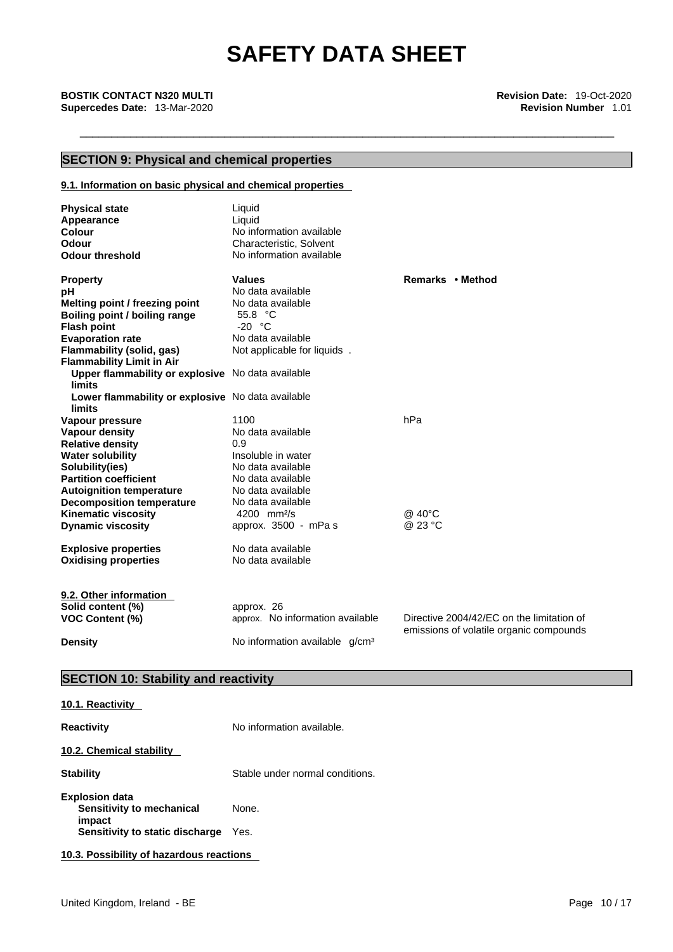### **SECTION 9: Physical and chemical properties**

#### **9.1. Information on basic physical and chemical properties**

| <b>Physical state</b><br>Appearance<br>Colour<br><b>Odour</b><br><b>Odour threshold</b> | Liquid<br>Liquid<br>No information available<br>Characteristic, Solvent<br>No information available |                                           |
|-----------------------------------------------------------------------------------------|-----------------------------------------------------------------------------------------------------|-------------------------------------------|
| <b>Property</b>                                                                         | <b>Values</b>                                                                                       | Remarks • Method                          |
| рH                                                                                      | No data available                                                                                   |                                           |
| Melting point / freezing point                                                          | No data available                                                                                   |                                           |
| Boiling point / boiling range                                                           | 55.8 °C                                                                                             |                                           |
| <b>Flash point</b>                                                                      | $-20$ °C                                                                                            |                                           |
| <b>Evaporation rate</b>                                                                 | No data available                                                                                   |                                           |
| Flammability (solid, gas)                                                               | Not applicable for liquids.                                                                         |                                           |
| <b>Flammability Limit in Air</b>                                                        |                                                                                                     |                                           |
| Upper flammability or explosive No data available                                       |                                                                                                     |                                           |
| <b>limits</b>                                                                           |                                                                                                     |                                           |
| Lower flammability or explosive No data available                                       |                                                                                                     |                                           |
| <b>limits</b>                                                                           |                                                                                                     |                                           |
| Vapour pressure                                                                         | 1100                                                                                                | hPa                                       |
| Vapour density                                                                          | No data available<br>0.9                                                                            |                                           |
| <b>Relative density</b>                                                                 | Insoluble in water                                                                                  |                                           |
| <b>Water solubility</b><br>Solubility(ies)                                              | No data available                                                                                   |                                           |
| <b>Partition coefficient</b>                                                            | No data available                                                                                   |                                           |
| <b>Autoignition temperature</b>                                                         | No data available                                                                                   |                                           |
| <b>Decomposition temperature</b>                                                        | No data available                                                                                   |                                           |
| <b>Kinematic viscosity</b>                                                              | 4200 mm $^{2}/s$                                                                                    | @ 40°C                                    |
| <b>Dynamic viscosity</b>                                                                | approx. 3500 - mPa s                                                                                | @ 23 °C                                   |
|                                                                                         |                                                                                                     |                                           |
| <b>Explosive properties</b>                                                             | No data available                                                                                   |                                           |
| <b>Oxidising properties</b>                                                             | No data available                                                                                   |                                           |
|                                                                                         |                                                                                                     |                                           |
| 9.2. Other information                                                                  |                                                                                                     |                                           |
| Solid content (%)                                                                       | approx. 26                                                                                          |                                           |
| <b>VOC Content (%)</b>                                                                  | approx. No information available                                                                    | Directive 2004/42/EC on the limitation of |
|                                                                                         |                                                                                                     | emissions of volatile organic compounds   |
| <b>Density</b>                                                                          | No information available q/cm <sup>3</sup>                                                          |                                           |

### **SECTION 10: Stability and reactivity**

### **10.1. Reactivity**

| <b>Reactivity</b>                                            | No information available.       |
|--------------------------------------------------------------|---------------------------------|
| 10.2. Chemical stability                                     |                                 |
| <b>Stability</b>                                             | Stable under normal conditions. |
| <b>Explosion data</b><br>Sensitivity to mechanical<br>impact | None.                           |
| Sensitivity to static discharge                              | Yes.                            |
| 10.3. Possibility of hazardous reactions                     |                                 |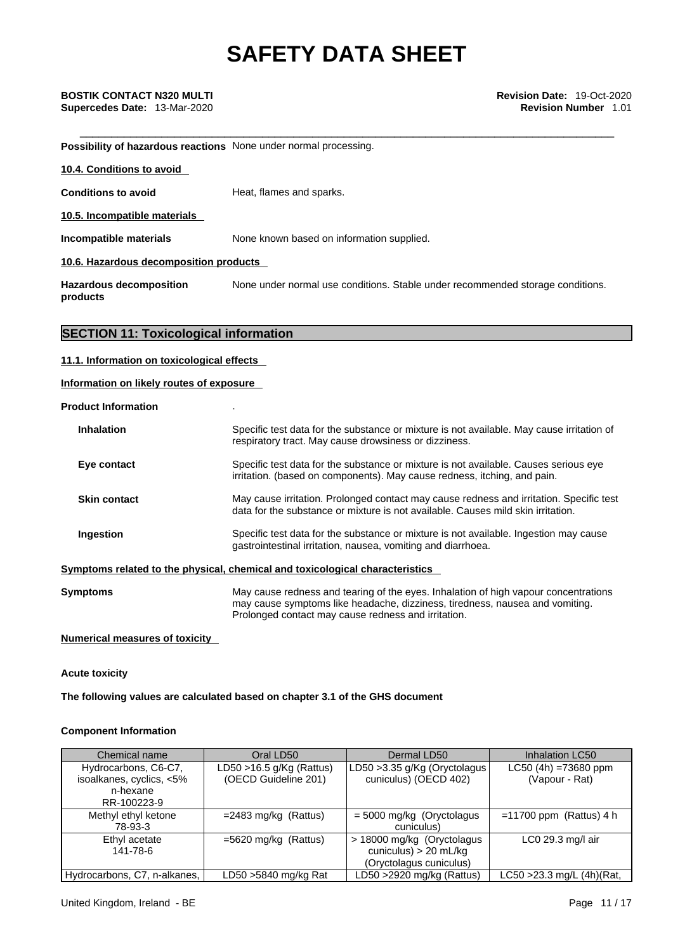**Supercedes Date:** 13-Mar-2020 **Revision Number** 1.01

**Possibility of hazardous reactions** None under normal processing.

| 10.4. Conditions to avoid                  |                                                                                |
|--------------------------------------------|--------------------------------------------------------------------------------|
| <b>Conditions to avoid</b>                 | Heat, flames and sparks.                                                       |
| 10.5. Incompatible materials               |                                                                                |
| Incompatible materials                     | None known based on information supplied.                                      |
| 10.6. Hazardous decomposition products     |                                                                                |
| <b>Hazardous decomposition</b><br>products | None under normal use conditions. Stable under recommended storage conditions. |

### **SECTION 11: Toxicological information**

#### **11.1. Information on toxicological effects**

#### **Information on likely routes of exposure**

**Product Information** .

| <b>Inhalation</b>   | Specific test data for the substance or mixture is not available. May cause irritation of<br>respiratory tract. May cause drowsiness or dizziness.                                                                         |
|---------------------|----------------------------------------------------------------------------------------------------------------------------------------------------------------------------------------------------------------------------|
| Eye contact         | Specific test data for the substance or mixture is not available. Causes serious eye<br>irritation. (based on components). May cause redness, itching, and pain.                                                           |
| <b>Skin contact</b> | May cause irritation. Prolonged contact may cause redness and irritation. Specific test<br>data for the substance or mixture is not available. Causes mild skin irritation.                                                |
| <b>Ingestion</b>    | Specific test data for the substance or mixture is not available. Ingestion may cause<br>gastrointestinal irritation, nausea, vomiting and diarrhoea.                                                                      |
|                     | Symptoms related to the physical, chemical and toxicological characteristics                                                                                                                                               |
| <b>Symptoms</b>     | May cause redness and tearing of the eyes. Inhalation of high vapour concentrations<br>may cause symptoms like headache, dizziness, tiredness, nausea and vomiting.<br>Prolonged contact may cause redness and irritation. |

#### **Numerical measures of toxicity**

**Acute toxicity** 

**The following values are calculated based on chapter 3.1 of the GHS document**

#### **Component Information**

| Chemical name                | Oral LD50                  | Dermal LD50                   | Inhalation LC50           |
|------------------------------|----------------------------|-------------------------------|---------------------------|
| Hydrocarbons, C6-C7,         | LD50 $>16.5$ g/Kg (Rattus) | LD50 > 3.35 g/Kg (Oryctolagus | $LC50$ (4h) =73680 ppm    |
| isoalkanes, cyclics, <5%     | (OECD Guideline 201)       | cuniculus) (OECD 402)         | (Vapour - Rat)            |
| n-hexane                     |                            |                               |                           |
| RR-100223-9                  |                            |                               |                           |
| Methyl ethyl ketone          | $=$ 2483 mg/kg (Rattus)    | $=$ 5000 mg/kg (Oryctolagus   | $=11700$ ppm (Rattus) 4 h |
| 78-93-3                      |                            | cuniculus)                    |                           |
| Ethyl acetate                | $=5620$ mg/kg (Rattus)     | > 18000 mg/kg (Oryctolagus    | $LCO$ 29.3 mg/l air       |
| 141-78-6                     |                            | cuniculus) $> 20$ mL/kg       |                           |
|                              |                            | (Oryctolagus cuniculus)       |                           |
| Hydrocarbons, C7, n-alkanes, | LD50 >5840 mg/kg Rat       | LD50 $>$ 2920 mg/kg (Rattus)  | LC50 >23.3 mg/L (4h)(Rat, |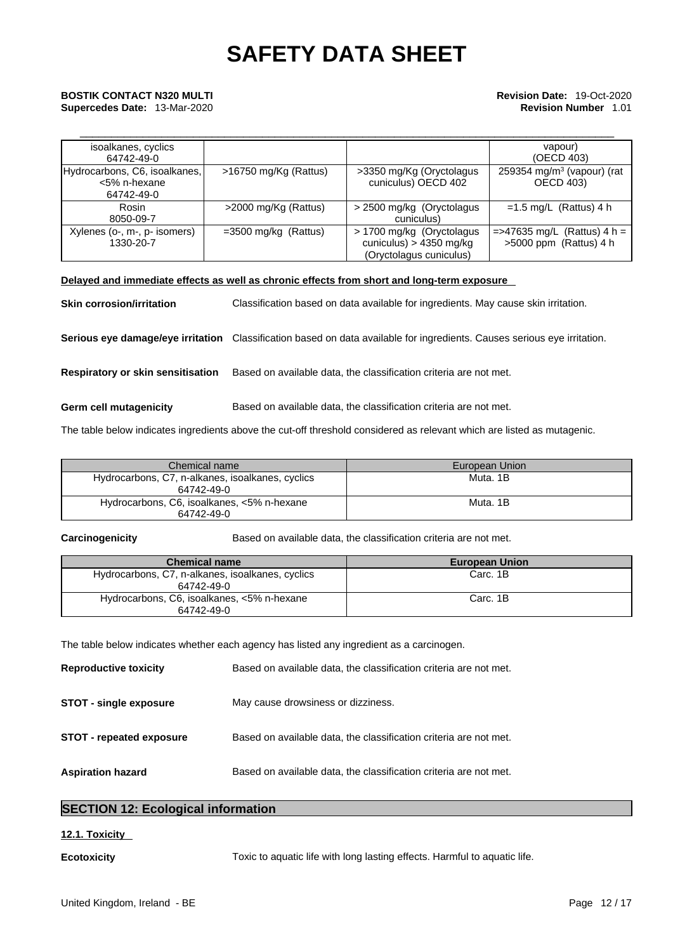## \_\_\_\_\_\_\_\_\_\_\_\_\_\_\_\_\_\_\_\_\_\_\_\_\_\_\_\_\_\_\_\_\_\_\_\_\_\_\_\_\_\_\_\_\_\_\_\_\_\_\_\_\_\_\_\_\_\_\_\_\_\_\_\_\_\_\_\_\_\_\_\_\_\_\_\_\_\_\_\_\_\_\_\_\_ **BOSTIK CONTACT N320 MULTI Revision Date:** 19-Oct-2020 **Supercedes Date:** 13-Mar-2020 **Revision Number** 1.01

| isoalkanes, cyclics<br>64742-49-0                           |                        |                                                                                   | vapour)<br>(OECD 403)                                      |
|-------------------------------------------------------------|------------------------|-----------------------------------------------------------------------------------|------------------------------------------------------------|
| Hydrocarbons, C6, isoalkanes,<br><5% n-hexane<br>64742-49-0 | >16750 mg/Kg (Rattus)  | >3350 mg/Kg (Oryctolagus<br>cuniculus) OECD 402                                   | 259354 mg/m <sup>3</sup> (vapour) (rat<br><b>OECD 403)</b> |
| Rosin<br>8050-09-7                                          | >2000 mg/Kg (Rattus)   | > 2500 mg/kg (Oryctolagus)<br>cuniculus)                                          | $=1.5$ mg/L (Rattus) 4 h                                   |
| Xylenes (o-, m-, p- isomers)<br>1330-20-7                   | $=3500$ mg/kg (Rattus) | > 1700 mg/kg (Oryctolagus<br>cuniculus) > $4350$ mg/kg<br>(Oryctolagus cuniculus) | $=$ >47635 mg/L (Rattus) 4 h =<br>$>5000$ ppm (Rattus) 4 h |

#### **Delayed and immediate effects as well as chronic effects from short and long-term exposure**

**Skin corrosion/irritation** Classification based on data available for ingredients. May cause skin irritation. **Serious eye damage/eye irritation** Classification based on data available for ingredients. Causes serious eye irritation. **Respiratory or skin sensitisation** Based on available data, the classification criteria are not met. **Germ cell mutagenicity** Based on available data, the classification criteria are not met.

The table below indicates ingredients above the cut-off threshold considered as relevant which are listed as mutagenic.

| Chemical name                                                  | European Union |
|----------------------------------------------------------------|----------------|
| Hydrocarbons, C7, n-alkanes, isoalkanes, cyclics<br>64742-49-0 | Muta. 1B       |
| Hydrocarbons, C6, isoalkanes, <5% n-hexane<br>64742-49-0       | Muta. 1B       |

**Carcinogenicity** Based on available data, the classification criteria are not met.

| <b>Chemical name</b>                                           | <b>European Union</b> |
|----------------------------------------------------------------|-----------------------|
| Hydrocarbons, C7, n-alkanes, isoalkanes, cyclics<br>64742-49-0 | Carc. 1B              |
| Hydrocarbons, C6, isoalkanes, <5% n-hexane<br>64742-49-0       | Carc. 1B              |

The table below indicates whether each agency has listed any ingredient as a carcinogen.

| <b>Reproductive toxicity</b>    | Based on available data, the classification criteria are not met. |
|---------------------------------|-------------------------------------------------------------------|
| STOT - single exposure          | May cause drowsiness or dizziness.                                |
| <b>STOT - repeated exposure</b> | Based on available data, the classification criteria are not met. |
| <b>Aspiration hazard</b>        | Based on available data, the classification criteria are not met. |

### **SECTION 12: Ecological information**

### **12.1. Toxicity**

**Ecotoxicity** Toxic to aquatic life with long lasting effects. Harmful to aquatic life.United Kingdom, Ireland - BE Page 12 / 17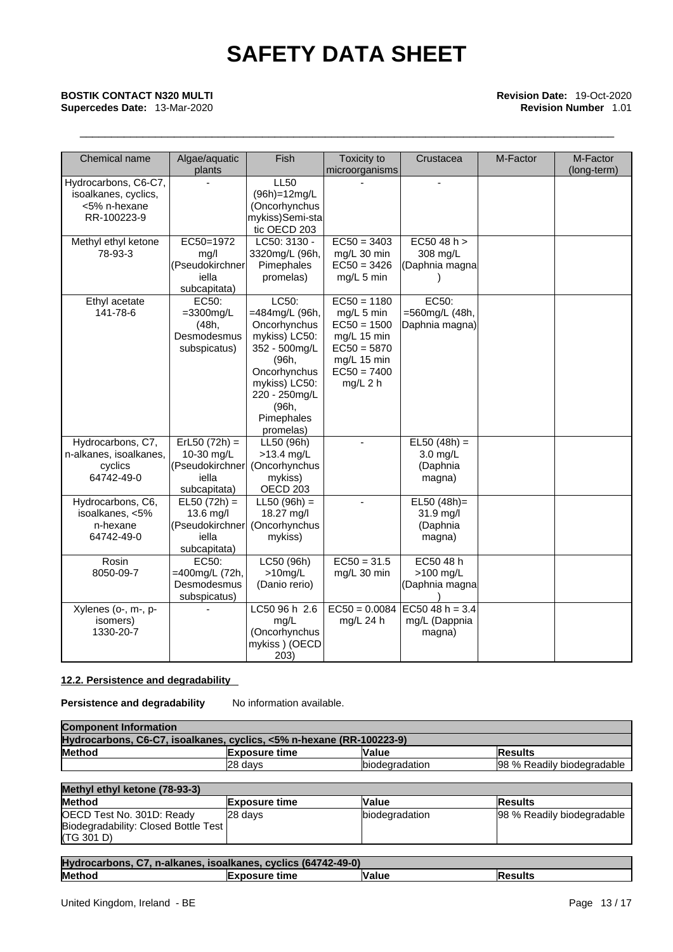## \_\_\_\_\_\_\_\_\_\_\_\_\_\_\_\_\_\_\_\_\_\_\_\_\_\_\_\_\_\_\_\_\_\_\_\_\_\_\_\_\_\_\_\_\_\_\_\_\_\_\_\_\_\_\_\_\_\_\_\_\_\_\_\_\_\_\_\_\_\_\_\_\_\_\_\_\_\_\_\_\_\_\_\_\_ **BOSTIK CONTACT N320 MULTI Revision Date:** 19-Oct-2020 **Supercedes Date:** 13-Mar-2020 **Revision Number** 1.01

| Chemical name                                                               | Algae/aquatic<br>plants                                                   | Fish                                                                                                                                                                     | Toxicity to<br>microorganisms                                                                                              | Crustacea                                                  | M-Factor | M-Factor<br>(long-term) |
|-----------------------------------------------------------------------------|---------------------------------------------------------------------------|--------------------------------------------------------------------------------------------------------------------------------------------------------------------------|----------------------------------------------------------------------------------------------------------------------------|------------------------------------------------------------|----------|-------------------------|
| Hydrocarbons, C6-C7,<br>isoalkanes, cyclics,<br><5% n-hexane<br>RR-100223-9 |                                                                           | <b>LL50</b><br>(96h)=12mg/L<br>(Oncorhynchus<br>mykiss)Semi-sta<br>tic OECD 203                                                                                          |                                                                                                                            |                                                            |          |                         |
| Methyl ethyl ketone<br>78-93-3                                              | EC50=1972<br>mg/l<br>(Pseudokirchner<br>iella<br>subcapitata)             | LC50: 3130 -<br>3320mg/L (96h,<br>Pimephales<br>promelas)                                                                                                                | $EC50 = 3403$<br>mg/L 30 min<br>$EC50 = 3426$<br>mg/L 5 min                                                                | EC5048 h ><br>308 mg/L<br>(Daphnia magna                   |          |                         |
| Ethyl acetate<br>141-78-6                                                   | EC50:<br>$=3300$ mg/L<br>(48h,<br>Desmodesmus<br>subspicatus)             | LC50:<br>=484mg/L (96h,<br>Oncorhynchus<br>mykiss) LC50:<br>352 - 500mg/L<br>(96h,<br>Oncorhynchus<br>mykiss) LC50:<br>220 - 250mg/L<br>(96h,<br>Pimephales<br>promelas) | $EC50 = 1180$<br>mg/L 5 min<br>$EC50 = 1500$<br>mg/L 15 min<br>$EC50 = 5870$<br>mg/L 15 min<br>$EC50 = 7400$<br>$mg/L$ 2 h | EC50:<br>=560mg/L (48h,<br>Daphnia magna)                  |          |                         |
| Hydrocarbons, C7,<br>n-alkanes, isoalkanes,<br>cyclics<br>64742-49-0        | $ErL50 (72h) =$<br>10-30 mg/L<br>(Pseudokirchner<br>iella<br>subcapitata) | LL50 (96h)<br>$>13.4$ mg/L<br>(Oncorhynchus<br>mykiss)<br>OECD 203                                                                                                       | $\blacksquare$                                                                                                             | $EL50 (48h) =$<br>3.0 mg/L<br>(Daphnia<br>magna)           |          |                         |
| Hydrocarbons, C6,<br>isoalkanes, <5%<br>n-hexane<br>64742-49-0              | $EL50 (72h) =$<br>13.6 mg/l<br>(Pseudokirchner<br>iella<br>subcapitata)   | $LL50 (96h) =$<br>18.27 mg/l<br>(Oncorhynchus<br>mykiss)                                                                                                                 |                                                                                                                            | $EL50(48h)=$<br>31.9 mg/l<br>(Daphnia<br>magna)            |          |                         |
| Rosin<br>8050-09-7                                                          | EC50:<br>=400mg/L (72h,<br>Desmodesmus<br>subspicatus)                    | LC50 (96h)<br>$>10$ mg/L<br>(Danio rerio)                                                                                                                                | $EC50 = 31.5$<br>mg/L 30 min                                                                                               | EC50 48 h<br>>100 mg/L<br>(Daphnia magna                   |          |                         |
| Xylenes (o-, m-, p-<br>isomers)<br>1330-20-7                                |                                                                           | LC5096 h 2.6<br>mg/L<br>(Oncorhynchus<br>mykiss) (OECD<br>203)                                                                                                           | mg/L 24 h                                                                                                                  | $EC50 = 0.0084$ EC50 48 h = 3.4<br>mg/L (Dappnia<br>magna) |          |                         |

### **12.2. Persistence and degradability**

**Persistence and degradability** No information available.

| <b>Component Information</b>                                         |                      |                        |                            |
|----------------------------------------------------------------------|----------------------|------------------------|----------------------------|
| Hydrocarbons, C6-C7, isoalkanes, cyclics, <5% n-hexane (RR-100223-9) |                      |                        |                            |
| <b>Method</b>                                                        | <b>Exposure time</b> | Value                  | lResults                   |
|                                                                      | 28 days              | <b>Ibiodegradation</b> | 98 % Readily biodegradable |

| Methyl ethyl ketone (78-93-3)                                                   |                      |                |                            |
|---------------------------------------------------------------------------------|----------------------|----------------|----------------------------|
| <b>Method</b>                                                                   | <b>Exposure time</b> | <b>Value</b>   | <b>IResults</b>            |
| OECD Test No. 301D: Ready<br>Biodegradability: Closed Bottle Test<br>(TG 301 D) | 28 days              | biodegradation | 98 % Readily biodegradable |

| Hydrocarbons, C7, n-alkanes, isoalkanes, cyclics (64742-49-0) |                      |              |                |
|---------------------------------------------------------------|----------------------|--------------|----------------|
| <b>Method</b>                                                 | <b>Exposure time</b> | <b>Value</b> | <b>Results</b> |
|                                                               |                      |              |                |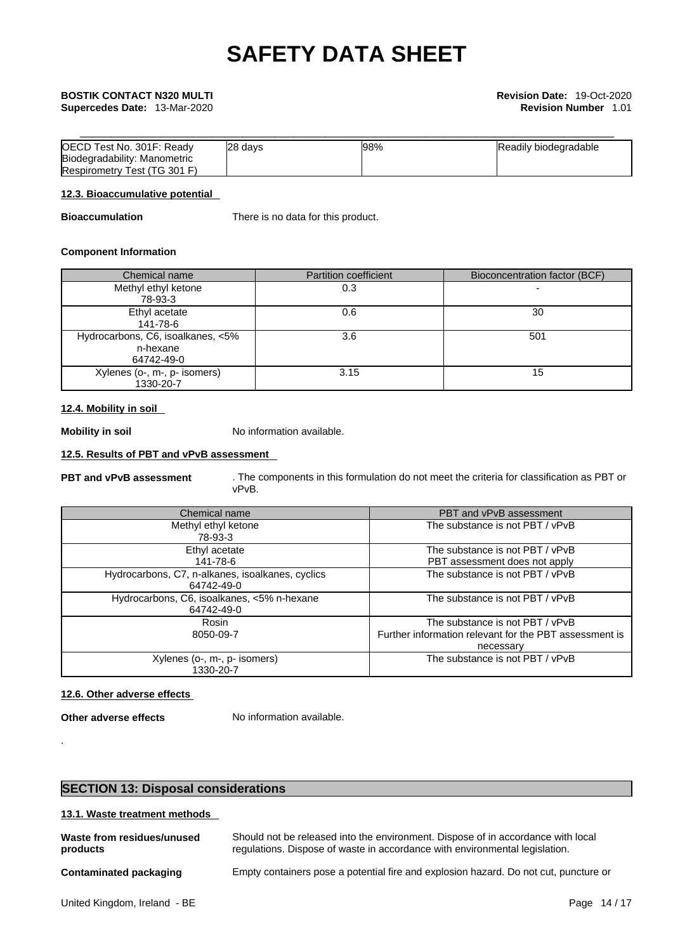| OECD Test No. 301F: Ready    | 28 days | 98% | Readily biodegradable |
|------------------------------|---------|-----|-----------------------|
| Biodegradability: Manometric |         |     |                       |
| Respirometry Test (TG 301 F) |         |     |                       |

#### **12.3. Bioaccumulative potential**

**Bioaccumulation** There is no data for this product.

#### **Component Information**

| Chemical name                     | <b>Partition coefficient</b> | Bioconcentration factor (BCF) |
|-----------------------------------|------------------------------|-------------------------------|
| Methyl ethyl ketone               | 0.3                          |                               |
| 78-93-3                           |                              |                               |
| Ethyl acetate                     | 0.6                          | 30                            |
| 141-78-6                          |                              |                               |
| Hydrocarbons, C6, isoalkanes, <5% | 3.6                          | 501                           |
| n-hexane                          |                              |                               |
| 64742-49-0                        |                              |                               |
| Xylenes (o-, m-, p- isomers)      | 3.15                         | 15                            |
| 1330-20-7                         |                              |                               |

#### **12.4. Mobility in soil**

**Mobility in soil** No information available.

### **12.5. Results of PBT and vPvB assessment**

**PBT and vPvB assessment** . The components in this formulation do not meet the criteria for classification as PBT or vPvB.

| Chemical name                                                  | PBT and vPvB assessment                                                                                |
|----------------------------------------------------------------|--------------------------------------------------------------------------------------------------------|
| Methyl ethyl ketone<br>78-93-3                                 | The substance is not PBT / vPvB                                                                        |
| Ethyl acetate<br>141-78-6                                      | The substance is not PBT / vPvB<br>PBT assessment does not apply                                       |
| Hydrocarbons, C7, n-alkanes, isoalkanes, cyclics<br>64742-49-0 | The substance is not PBT / vPvB                                                                        |
| Hydrocarbons, C6, isoalkanes, <5% n-hexane<br>64742-49-0       | The substance is not PBT / vPvB                                                                        |
| Rosin<br>8050-09-7                                             | The substance is not PBT / vPvB<br>Further information relevant for the PBT assessment is<br>necessary |
| Xylenes (o-, m-, p- isomers)<br>1330-20-7                      | The substance is not PBT / vPvB                                                                        |

### **12.6. Other adverse effects**

**Other adverse effects** No information available.

.

### **SECTION 13: Disposal considerations**

### **13.1. Waste treatment methods**

| Waste from residues/unused | Should not be released into the environment. Dispose of in accordance with local     |
|----------------------------|--------------------------------------------------------------------------------------|
| products                   | regulations. Dispose of waste in accordance with environmental legislation.          |
| Contaminated packaging     | Empty containers pose a potential fire and explosion hazard. Do not cut, puncture or |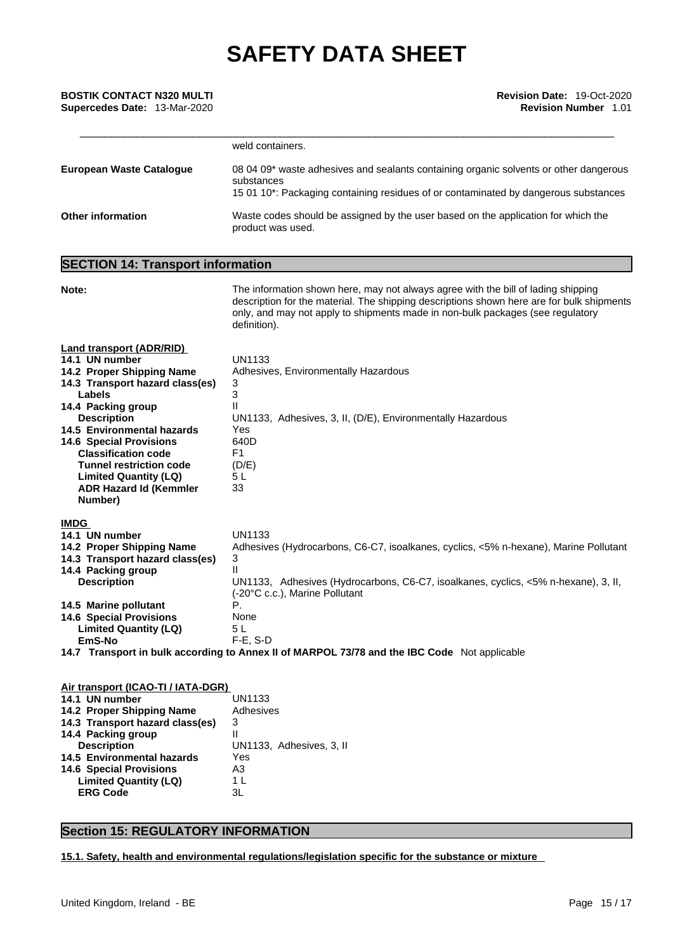| <b>BOSTIK CONTACT N320 MULTI</b>    | <b>Revision Date: 19-Oct-2020</b> |
|-------------------------------------|-----------------------------------|
| <b>Supercedes Date: 13-Mar-2020</b> | <b>Revision Number 1.01</b>       |
|                                     |                                   |
|                                     |                                   |

|                                 | weld containers.                                                                                                                                                                           |
|---------------------------------|--------------------------------------------------------------------------------------------------------------------------------------------------------------------------------------------|
| <b>European Waste Cataloque</b> | 08 04 09* waste adhesives and sealants containing organic solvents or other dangerous<br>substances<br>15 01 10*: Packaging containing residues of or contaminated by dangerous substances |
| <b>Other information</b>        | Waste codes should be assigned by the user based on the application for which the<br>product was used.                                                                                     |

### **SECTION 14: Transport information**

| Note:                                                                                                                                                                                                                                                                                                                                                                                      | The information shown here, may not always agree with the bill of lading shipping<br>description for the material. The shipping descriptions shown here are for bulk shipments<br>only, and may not apply to shipments made in non-bulk packages (see regulatory<br>definition).                                                                                     |
|--------------------------------------------------------------------------------------------------------------------------------------------------------------------------------------------------------------------------------------------------------------------------------------------------------------------------------------------------------------------------------------------|----------------------------------------------------------------------------------------------------------------------------------------------------------------------------------------------------------------------------------------------------------------------------------------------------------------------------------------------------------------------|
| <b>Land transport (ADR/RID)</b><br>14.1 UN number<br>14.2 Proper Shipping Name<br>14.3 Transport hazard class(es)<br>Labels<br>14.4 Packing group<br><b>Description</b><br><b>14.5 Environmental hazards</b><br><b>14.6 Special Provisions</b><br><b>Classification code</b><br><b>Tunnel restriction code</b><br><b>Limited Quantity (LQ)</b><br><b>ADR Hazard Id (Kemmler</b><br>Number) | <b>UN1133</b><br>Adhesives, Environmentally Hazardous<br>3<br>3<br>Ш<br>UN1133, Adhesives, 3, II, (D/E), Environmentally Hazardous<br>Yes<br>640D<br>F <sub>1</sub><br>(D/E)<br>5 <sub>L</sub><br>33                                                                                                                                                                 |
| <b>IMDG</b><br>14.1 UN number<br>14.2 Proper Shipping Name<br>14.3 Transport hazard class(es)<br>14.4 Packing group<br><b>Description</b><br>14.5 Marine pollutant<br><b>14.6 Special Provisions</b><br><b>Limited Quantity (LQ)</b><br>EmS-No                                                                                                                                             | <b>UN1133</b><br>Adhesives (Hydrocarbons, C6-C7, isoalkanes, cyclics, <5% n-hexane), Marine Pollutant<br>3<br>UN1133, Adhesives (Hydrocarbons, C6-C7, isoalkanes, cyclics, <5% n-hexane), 3, II,<br>(-20°C c.c.), Marine Pollutant<br>Р.<br>None<br>5L<br>$F-E. S-D$<br>14.7 Transport in bulk according to Annex II of MARPOL 73/78 and the IBC Code Not applicable |
| Air transport (ICAO-TI / IATA-DGR)                                                                                                                                                                                                                                                                                                                                                         |                                                                                                                                                                                                                                                                                                                                                                      |

| $1.01$ . The state of $1.91$ and $1.11$ and $1.11$ and $1.11$ and $1.11$ and $1.11$ and $1.11$ and $1.11$ and $1.11$ and $1.11$ and $1.11$ and $1.11$ and $1.11$ and $1.11$ and $1.11$ and $1.11$ and $1.11$ and $1.11$ and |                          |
|-----------------------------------------------------------------------------------------------------------------------------------------------------------------------------------------------------------------------------|--------------------------|
| 14.1 UN number                                                                                                                                                                                                              | <b>UN1133</b>            |
| 14.2 Proper Shipping Name                                                                                                                                                                                                   | Adhesives                |
| 14.3 Transport hazard class(es)                                                                                                                                                                                             | 3                        |
| 14.4 Packing group                                                                                                                                                                                                          | Ш                        |
| <b>Description</b>                                                                                                                                                                                                          | UN1133, Adhesives, 3, II |
| 14.5 Environmental hazards                                                                                                                                                                                                  | Yes                      |
| <b>14.6 Special Provisions</b>                                                                                                                                                                                              | A3                       |
| <b>Limited Quantity (LQ)</b>                                                                                                                                                                                                | 1 L                      |
| <b>ERG Code</b>                                                                                                                                                                                                             | 3L                       |
|                                                                                                                                                                                                                             |                          |

### **Section 15: REGULATORY INFORMATION**

**15.1. Safety, health and environmental regulations/legislation specific for the substance or mixture**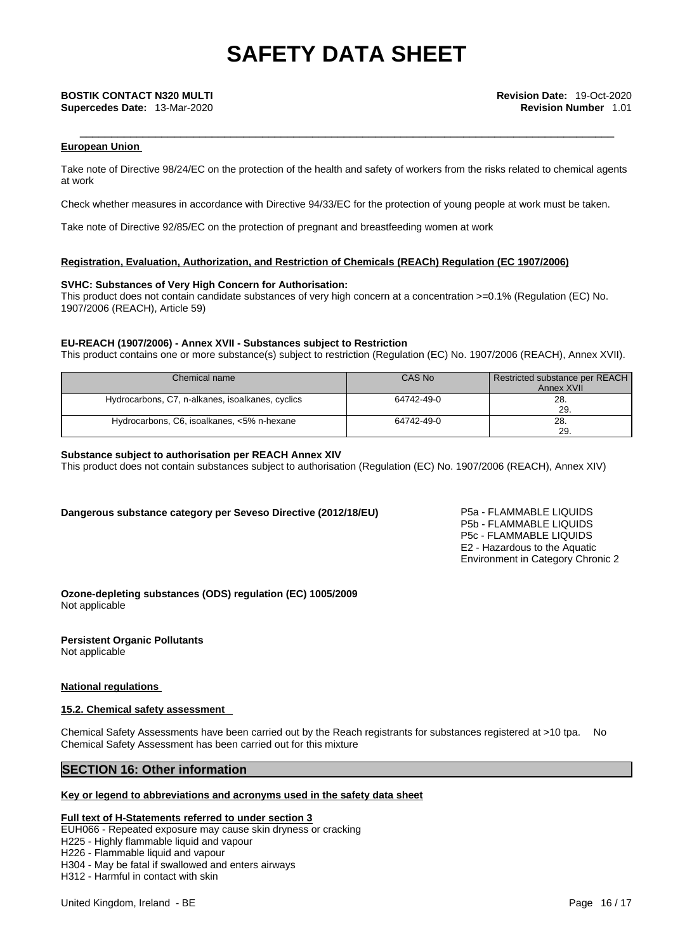#### **European Union**

Take note of Directive 98/24/EC on the protection of the health and safety of workers from the risks related to chemical agents at work

Check whether measures in accordance with Directive 94/33/EC for the protection of young people at work must be taken.

Take note of Directive 92/85/EC on the protection of pregnant and breastfeeding women at work

#### **Registration, Evaluation, Authorization, and Restriction of Chemicals (REACh) Regulation (EC 1907/2006)**

#### **SVHC: Substances of Very High Concern for Authorisation:**

This product does not contain candidate substances of very high concern at a concentration >=0.1% (Regulation (EC) No. 1907/2006 (REACH), Article 59)

#### **EU-REACH (1907/2006) - Annex XVII - Substances subject to Restriction**

This product contains one or more substance(s) subject to restriction (Regulation (EC) No. 1907/2006 (REACH), Annex XVII).

| Chemical name                                    | CAS No     | Restricted substance per REACH<br>Annex XVII |
|--------------------------------------------------|------------|----------------------------------------------|
| Hydrocarbons, C7, n-alkanes, isoalkanes, cyclics | 64742-49-0 | 28<br>29                                     |
| Hydrocarbons, C6, isoalkanes, <5% n-hexane       | 64742-49-0 | 28<br>29.                                    |

#### **Substance subject to authorisation per REACH Annex XIV**

This product does not contain substances subject to authorisation (Regulation (EC) No. 1907/2006 (REACH), Annex XIV)

#### **Dangerous substance category per Seveso Directive (2012/18/EU)** P5a - FLAMMABLE LIQUIDS

P5b - FLAMMABLE LIQUIDS P5c - FLAMMABLE LIQUIDS E2 - Hazardous to the Aquatic Environment in Category Chronic 2

**Ozone-depleting substances (ODS) regulation (EC) 1005/2009** Not applicable

#### **Persistent Organic Pollutants**

Not applicable

#### **National regulations**

#### **15.2. Chemical safety assessment**

Chemical Safety Assessments have been carried out by the Reach registrants for substances registered at >10 tpa. No Chemical Safety Assessment has been carried out for this mixture

### **SECTION 16: Other information**

#### **Key or legend to abbreviations and acronyms used in the safety data sheet**

#### **Full text of H-Statements referred to under section 3**

EUH066 - Repeated exposure may cause skin dryness or cracking

H225 - Highly flammable liquid and vapour

H226 - Flammable liquid and vapour

H304 - May be fatal if swallowed and enters airways

H312 - Harmful in contact with skin